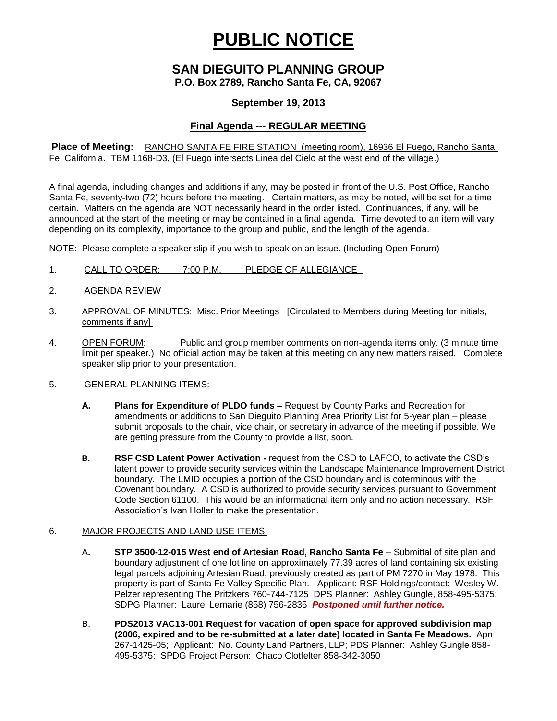# **PUBLIC NOTICE**

# **SAN DIEGUITO PLANNING GROUP**

**P.O. Box 2789, Rancho Santa Fe, CA, 92067**

### **September 19, 2013**

## **Final Agenda --- REGULAR MEETING**

**Place of Meeting:** RANCHO SANTA FE FIRE STATION (meeting room), 16936 El Fuego, Rancho Santa Fe, California. TBM 1168-D3, (El Fuego intersects Linea del Cielo at the west end of the village.)

A final agenda, including changes and additions if any, may be posted in front of the U.S. Post Office, Rancho Santa Fe, seventy-two (72) hours before the meeting. Certain matters, as may be noted, will be set for a time certain. Matters on the agenda are NOT necessarily heard in the order listed. Continuances, if any, will be announced at the start of the meeting or may be contained in a final agenda. Time devoted to an item will vary depending on its complexity, importance to the group and public, and the length of the agenda.

NOTE: Please complete a speaker slip if you wish to speak on an issue. (Including Open Forum)

- 1. CALL TO ORDER: 7:00 P.M. PLEDGE OF ALLEGIANCE
- 2. AGENDA REVIEW
- 3. APPROVAL OF MINUTES: Misc. Prior Meetings [Circulated to Members during Meeting for initials, comments if any]
- 4. OPEN FORUM: Public and group member comments on non-agenda items only. (3 minute time limit per speaker.) No official action may be taken at this meeting on any new matters raised. Complete speaker slip prior to your presentation.

#### 5. GENERAL PLANNING ITEMS:

- **A. Plans for Expenditure of PLDO funds –** Request by County Parks and Recreation for amendments or additions to San Dieguito Planning Area Priority List for 5-year plan – please submit proposals to the chair, vice chair, or secretary in advance of the meeting if possible. We are getting pressure from the County to provide a list, soon.
- **B. RSF CSD Latent Power Activation -** request from the CSD to LAFCO, to activate the CSD's latent power to provide security services within the Landscape Maintenance Improvement District boundary. The LMID occupies a portion of the CSD boundary and is coterminous with the Covenant boundary. A CSD is authorized to provide security services pursuant to Government Code Section 61100. This would be an informational item only and no action necessary. RSF Association's Ivan Holler to make the presentation.

#### 6. MAJOR PROJECTS AND LAND USE ITEMS:

- A**. STP 3500-12-015 West end of Artesian Road, Rancho Santa Fe** Submittal of site plan and boundary adjustment of one lot line on approximately 77.39 acres of land containing six existing legal parcels adjoining Artesian Road, previously created as part of PM 7270 in May 1978. This property is part of Santa Fe Valley Specific Plan.Applicant: RSF Holdings/contact: Wesley W. Pelzer representing The Pritzkers 760-744-7125 DPS Planner: Ashley Gungle, 858-495-5375; SDPG Planner: Laurel Lemarie (858) 756-2835 *Postponed until further notice.*
- B. **PDS2013 VAC13-001 Request for vacation of open space for approved subdivision map (2006, expired and to be re-submitted at a later date) located in Santa Fe Meadows.** Apn 267-1425-05; Applicant: No. County Land Partners, LLP; PDS Planner: Ashley Gungle 858- 495-5375; SPDG Project Person: Chaco Clotfelter 858-342-3050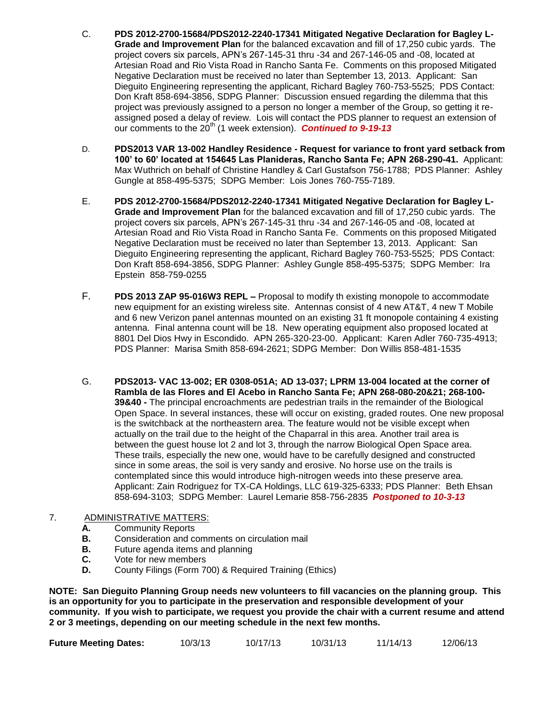- C. **PDS 2012-2700-15684/PDS2012-2240-17341 Mitigated Negative Declaration for Bagley L-Grade and Improvement Plan** for the balanced excavation and fill of 17,250 cubic yards. The project covers six parcels, APN's 267-145-31 thru -34 and 267-146-05 and -08, located at Artesian Road and Rio Vista Road in Rancho Santa Fe. Comments on this proposed Mitigated Negative Declaration must be received no later than September 13, 2013. Applicant: San Dieguito Engineering representing the applicant, Richard Bagley 760-753-5525; PDS Contact: Don Kraft 858-694-3856, SDPG Planner: Discussion ensued regarding the dilemma that this project was previously assigned to a person no longer a member of the Group, so getting it reassigned posed a delay of review. Lois will contact the PDS planner to request an extension of our comments to the 20<sup>th</sup> (1 week extension). **Continued to 9-19-13**
- D. **PDS2013 VAR 13-002 Handley Residence - Request for variance to front yard setback from 100' to 60' located at 154645 Las Planideras, Rancho Santa Fe; APN 268-290-41.** Applicant: Max Wuthrich on behalf of Christine Handley & Carl Gustafson 756-1788; PDS Planner: Ashley Gungle at 858-495-5375; SDPG Member: Lois Jones 760-755-7189.
- E. **PDS 2012-2700-15684/PDS2012-2240-17341 Mitigated Negative Declaration for Bagley L-Grade and Improvement Plan** for the balanced excavation and fill of 17,250 cubic yards. The project covers six parcels, APN's 267-145-31 thru -34 and 267-146-05 and -08, located at Artesian Road and Rio Vista Road in Rancho Santa Fe. Comments on this proposed Mitigated Negative Declaration must be received no later than September 13, 2013. Applicant: San Dieguito Engineering representing the applicant, Richard Bagley 760-753-5525; PDS Contact: Don Kraft 858-694-3856, SDPG Planner: Ashley Gungle 858-495-5375; SDPG Member: Ira Epstein 858-759-0255
- F. **PDS 2013 ZAP 95-016W3 REPL –** Proposal to modify th existing monopole to accommodate new equipment for an existing wireless site. Antennas consist of 4 new AT&T, 4 new T Mobile and 6 new Verizon panel antennas mounted on an existing 31 ft monopole containing 4 existing antenna. Final antenna count will be 18. New operating equipment also proposed located at 8801 Del Dios Hwy in Escondido. APN 265-320-23-00. Applicant: Karen Adler 760-735-4913; PDS Planner: Marisa Smith 858-694-2621; SDPG Member: Don Willis 858-481-1535
- G. **PDS2013- VAC 13-002; ER 0308-051A; AD 13-037; LPRM 13-004 located at the corner of Rambla de las Flores and El Acebo in Rancho Santa Fe; APN 268-080-20&21; 268-100- 39&40 -** The principal encroachments are pedestrian trails in the remainder of the Biological Open Space. In several instances, these will occur on existing, graded routes. One new proposal is the switchback at the northeastern area. The feature would not be visible except when actually on the trail due to the height of the Chaparral in this area. Another trail area is between the guest house lot 2 and lot 3, through the narrow Biological Open Space area. These trails, especially the new one, would have to be carefully designed and constructed since in some areas, the soil is very sandy and erosive. No horse use on the trails is contemplated since this would introduce high-nitrogen weeds into these preserve area. Applicant: Zain Rodriguez for TX-CA Holdings, LLC 619-325-6333; PDS Planner: Beth Ehsan 858-694-3103; SDPG Member: Laurel Lemarie 858-756-2835 *Postponed to 10-3-13*

#### 7. ADMINISTRATIVE MATTERS:

- **A.** Community Reports
- **B.** Consideration and comments on circulation mail
- **B.** Future agenda items and planning
- **C.** Vote for new members
- **D.** County Filings (Form 700) & Required Training (Ethics)

**NOTE: San Dieguito Planning Group needs new volunteers to fill vacancies on the planning group. This is an opportunity for you to participate in the preservation and responsible development of your community. If you wish to participate, we request you provide the chair with a current resume and attend 2 or 3 meetings, depending on our meeting schedule in the next few months.**

| <b>Future Meeting Dates:</b> | 10/3/13 | 10/17/13 | 10/31/13 | 11/14/13 | 12/06/13 |
|------------------------------|---------|----------|----------|----------|----------|
|------------------------------|---------|----------|----------|----------|----------|